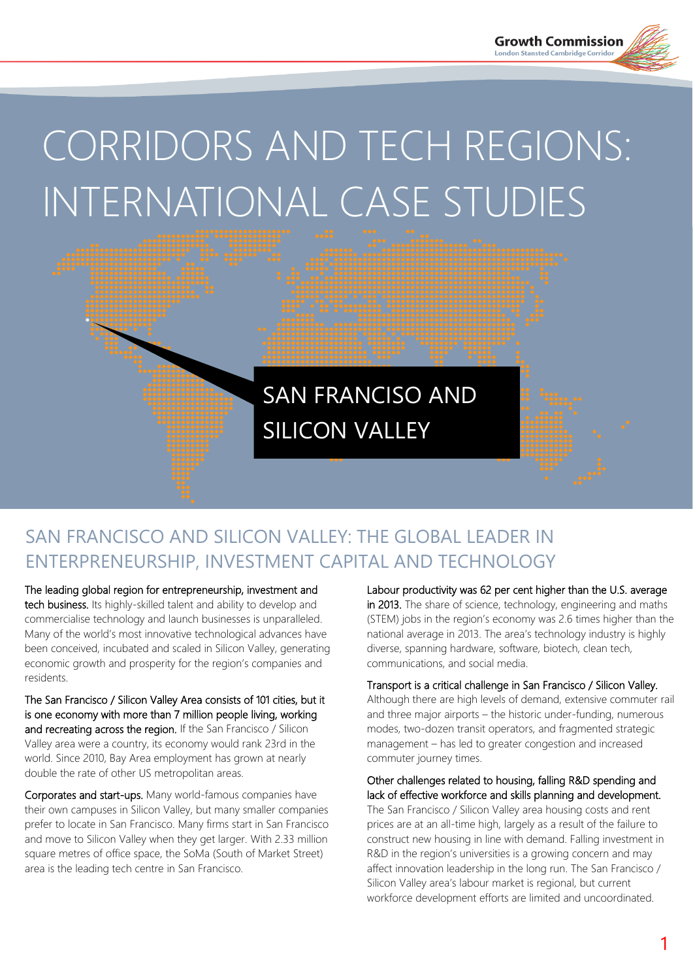# CORRIDORS AND TECH REGIONS: INTERNATIONAL CASE STUDIES

# SAN FRANCISO AND SILICON VALLEY

# SAN FRANCISCO AND SILICON VALLEY: THE GLOBAL LEADER IN ENTERPRENEURSHIP, INVESTMENT CAPITAL AND TECHNOLOGY

The leading global region for entrepreneurship, investment and tech business. Its highly-skilled talent and ability to develop and commercialise technology and launch businesses is unparalleled. Many of the world's most innovative technological advances have been conceived, incubated and scaled in Silicon Valley, generating economic growth and prosperity for the region's companies and residents.

The San Francisco / Silicon Valley Area consists of 101 cities, but it is one economy with more than 7 million people living, working and recreating across the region. If the San Francisco / Silicon Valley area were a country, its economy would rank 23rd in the world. Since 2010, Bay Area employment has grown at nearly double the rate of other US metropolitan areas.

Corporates and start-ups. Many world-famous companies have their own campuses in Silicon Valley, but many smaller companies prefer to locate in San Francisco. Many firms start in San Francisco and move to Silicon Valley when they get larger. With 2.33 million square metres of office space, the SoMa (South of Market Street) area is the leading tech centre in San Francisco.

Labour productivity was 62 per cent higher than the U.S. average in 2013. The share of science, technology, engineering and maths (STEM) jobs in the region's economy was 2.6 times higher than the national average in 2013. The area's technology industry is highly diverse, spanning hardware, software, biotech, clean tech, communications, and social media.

Transport is a critical challenge in San Francisco / Silicon Valley.

Although there are high levels of demand, extensive commuter rail and three major airports – the historic under-funding, numerous modes, two-dozen transit operators, and fragmented strategic management – has led to greater congestion and increased commuter journey times.

Other challenges related to housing, falling R&D spending and lack of effective workforce and skills planning and development. The San Francisco / Silicon Valley area housing costs and rent prices are at an all-time high, largely as a result of the failure to construct new housing in line with demand. Falling investment in R&D in the region's universities is a growing concern and may affect innovation leadership in the long run. The San Francisco / Silicon Valley area's labour market is regional, but current workforce development efforts are limited and uncoordinated.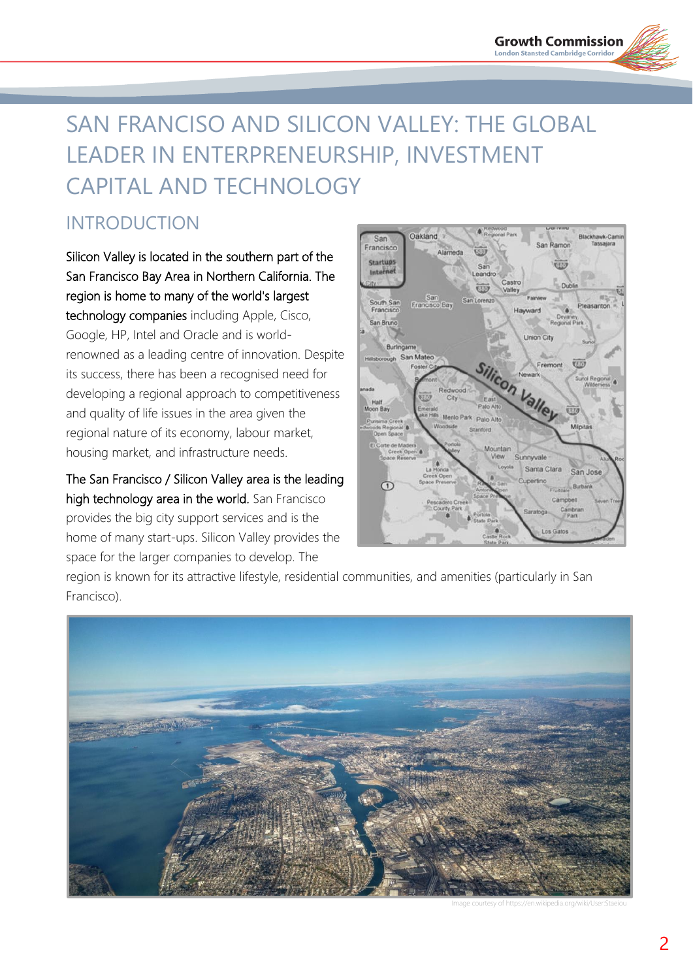# SAN FRANCISO AND SILICON VALLEY: THE GLOBAL LEADER IN ENTERPRENEURSHIP, INVESTMENT CAPITAL AND TECHNOLOGY

# INTRODUCTION

Silicon Valley is located in the southern part of the San Francisco Bay Area in Northern California. The region is home to many of the world's largest technology companies including Apple, Cisco, Google, HP, Intel and Oracle and is worldrenowned as a leading centre of innovation. Despite its success, there has been a recognised need for developing a regional approach to competitiveness and quality of life issues in the area given the regional nature of its economy, labour market, housing market, and infrastructure needs.

The San Francisco / Silicon Valley area is the leading high technology area in the world. San Francisco provides the big city support services and is the home of many start-ups. Silicon Valley provides the space for the larger companies to develop. The



region is known for its attractive lifestyle, residential communities, and amenities (particularly in San Francisco).



Image courtesy of https://en.wikipedia.org/wiki/User:Staeiou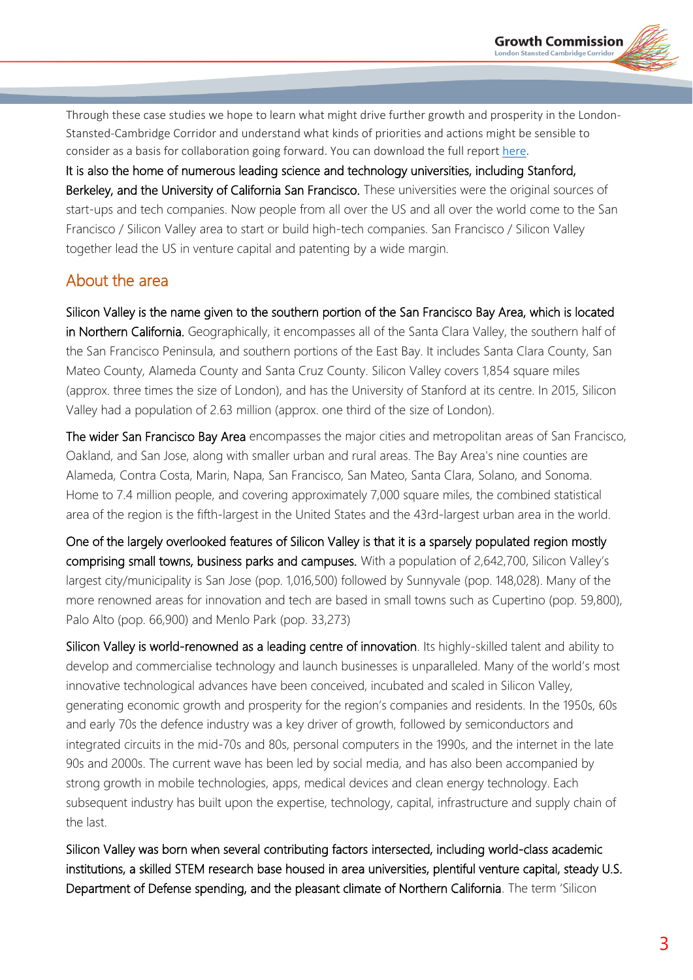Through these case studies we hope to learn what might drive further growth and prosperity in the London-Stansted-Cambridge Corridor and understand what kinds of priorities and actions might be sensible to consider as a basis for collaboration going forward. You can download the full report [here.](http://www.lsccgrowthcommission.org.uk/wp-content/uploads/2016/02/CASE_STUDY_Oresund_Copenhagen-Malmo-Scania.pdf)

It is also the home of numerous leading science and technology universities, including Stanford, Berkeley, and the University of California San Francisco. These universities were the original sources of start-ups and tech companies. Now people from all over the US and all over the world come to the San Francisco / Silicon Valley area to start or build high-tech companies. San Francisco / Silicon Valley together lead the US in venture capital and patenting by a wide margin.

# About the area

Silicon Valley is the name given to the southern portion of the San Francisco Bay Area, which is located in Northern California. Geographically, it encompasses all of the Santa Clara Valley, the southern half of the San Francisco Peninsula, and southern portions of the East Bay. It includes Santa Clara County, San Mateo County, Alameda County and Santa Cruz County. Silicon Valley covers 1,854 square miles (approx. three times the size of London), and has the University of Stanford at its centre. In 2015, Silicon Valley had a population of 2.63 million (approx. one third of the size of London).

The wider San Francisco Bay Area encompasses the major cities and metropolitan areas of San Francisco, Oakland, and San Jose, along with smaller urban and rural areas. The Bay Area's nine counties are Alameda, Contra Costa, Marin, Napa, San Francisco, San Mateo, Santa Clara, Solano, and Sonoma. Home to 7.4 million people, and covering approximately 7,000 square miles, the combined statistical area of the region is the fifth-largest in the United States and the 43rd-largest urban area in the world.

One of the largely overlooked features of Silicon Valley is that it is a sparsely populated region mostly comprising small towns, business parks and campuses. With a population of 2,642,700, Silicon Valley's largest city/municipality is San Jose (pop. 1,016,500) followed by Sunnyvale (pop. 148,028). Many of the more renowned areas for innovation and tech are based in small towns such as Cupertino (pop. 59,800), Palo Alto (pop. 66,900) and Menlo Park (pop. 33,273)

Silicon Valley is world-renowned as a leading centre of innovation. Its highly-skilled talent and ability to develop and commercialise technology and launch businesses is unparalleled. Many of the world's most innovative technological advances have been conceived, incubated and scaled in Silicon Valley, generating economic growth and prosperity for the region's companies and residents. In the 1950s, 60s and early 70s the defence industry was a key driver of growth, followed by semiconductors and integrated circuits in the mid-70s and 80s, personal computers in the 1990s, and the internet in the late 90s and 2000s. The current wave has been led by social media, and has also been accompanied by strong growth in mobile technologies, apps, medical devices and clean energy technology. Each subsequent industry has built upon the expertise, technology, capital, infrastructure and supply chain of the last.

Silicon Valley was born when several contributing factors intersected, including world-class academic institutions, a skilled STEM research base housed in area universities, plentiful venture capital, steady U.S. Department of Defense spending, and the pleasant climate of Northern California. The term 'Silicon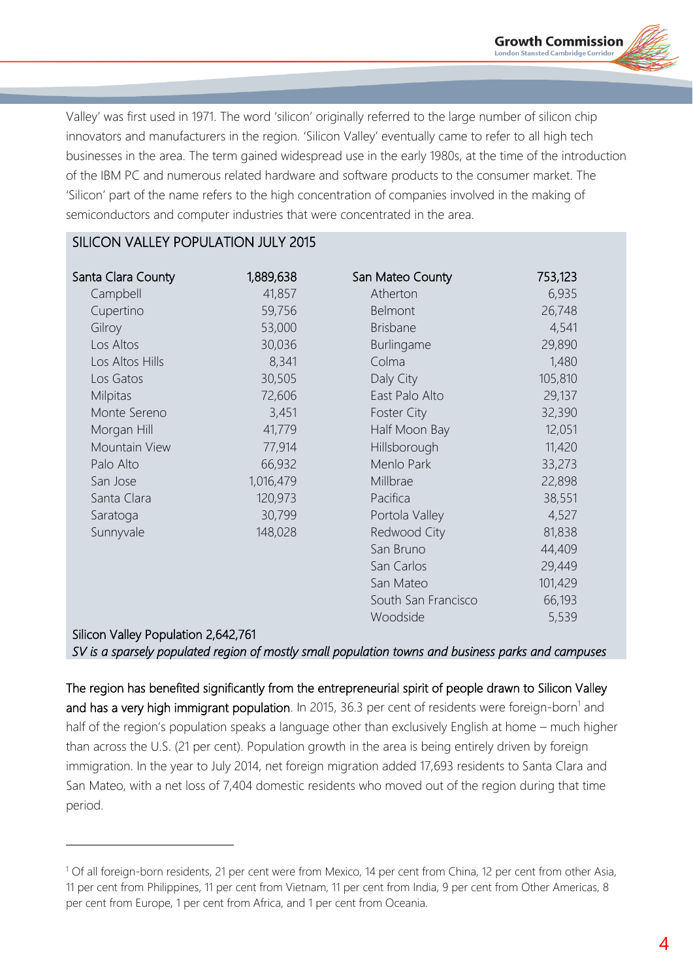

Valley' was first used in 1971. The word 'silicon' originally referred to the large number of silicon chip innovators and manufacturers in the region. 'Silicon Valley' eventually came to refer to all high tech businesses in the area. The term gained widespread use in the early 1980s, at the time of the introduction of the IBM PC and numerous related hardware and software products to the consumer market. The 'Silicon' part of the name refers to the high concentration of companies involved in the making of semiconductors and computer industries that were concentrated in the area.

### SILICON VALLEY POPULATION JULY 2015

| Santa Clara County                  | 1,889,638 | San Mateo County    | 753,123 |
|-------------------------------------|-----------|---------------------|---------|
| Campbell                            | 41,857    | Atherton            | 6,935   |
| Cupertino                           | 59,756    | Belmont             | 26,748  |
| Gilroy                              | 53,000    | <b>Brisbane</b>     | 4,541   |
| Los Altos                           | 30,036    | Burlingame          | 29,890  |
| Los Altos Hills                     | 8,341     | Colma               | 1,480   |
| Los Gatos                           | 30,505    | Daly City           | 105,810 |
| Milpitas                            | 72,606    | East Palo Alto      | 29,137  |
| Monte Sereno                        | 3,451     | <b>Foster City</b>  | 32,390  |
| Morgan Hill                         | 41,779    | Half Moon Bay       | 12,051  |
| Mountain View                       | 77,914    | Hillsborough        | 11,420  |
| Palo Alto                           | 66,932    | Menlo Park          | 33,273  |
| San Jose                            | 1,016,479 | Millbrae            | 22,898  |
| Santa Clara                         | 120,973   | Pacifica            | 38,551  |
| Saratoga                            | 30,799    | Portola Valley      | 4,527   |
| Sunnyvale                           | 148,028   | Redwood City        | 81,838  |
|                                     |           | San Bruno           | 44,409  |
|                                     |           | San Carlos          | 29,449  |
|                                     |           | San Mateo           | 101,429 |
|                                     |           | South San Francisco | 66,193  |
|                                     |           | Woodside            | 5,539   |
| Silicon Valley Population 2,642,761 |           |                     |         |

*SV is a sparsely populated region of mostly small population towns and business parks and campuses*

The region has benefited significantly from the entrepreneurial spirit of people drawn to Silicon Valley and has a very high immigrant population. In 2015, 36.3 per cent of residents were foreign-born<sup>1</sup> and half of the region's population speaks a language other than exclusively English at home – much higher than across the U.S. (21 per cent). Population growth in the area is being entirely driven by foreign immigration. In the year to July 2014, net foreign migration added 17,693 residents to Santa Clara and San Mateo, with a net loss of 7,404 domestic residents who moved out of the region during that time period.

<sup>1</sup> Of all foreign-born residents, 21 per cent were from Mexico, 14 per cent from China, 12 per cent from other Asia, 11 per cent from Philippines, 11 per cent from Vietnam, 11 per cent from India, 9 per cent from Other Americas, 8 per cent from Europe, 1 per cent from Africa, and 1 per cent from Oceania.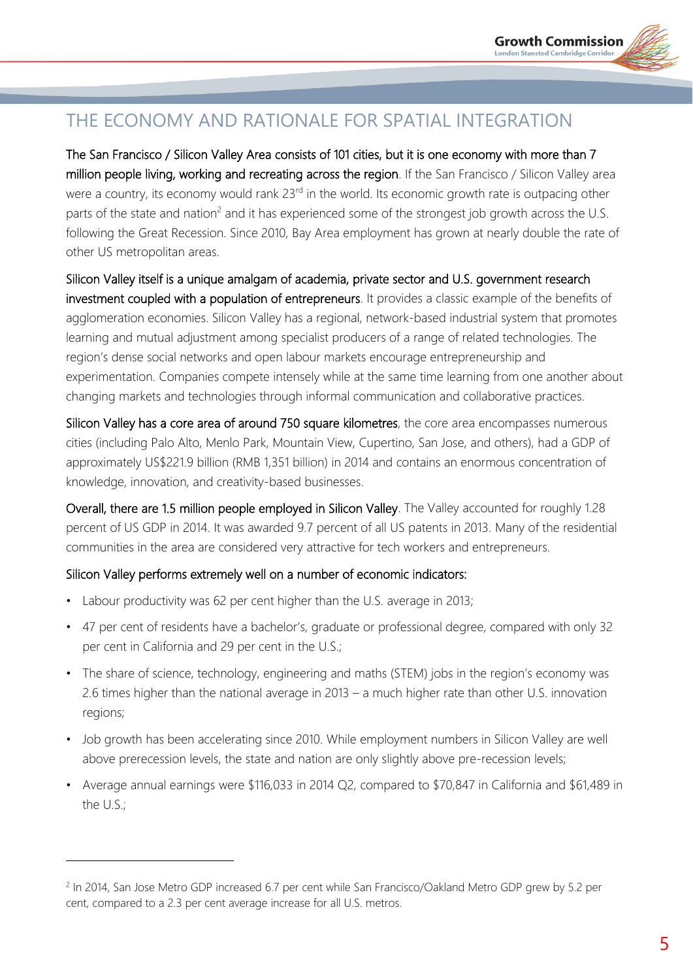# THE ECONOMY AND RATIONALE FOR SPATIAL INTEGRATION

The San Francisco / Silicon Valley Area consists of 101 cities, but it is one economy with more than 7 million people living, working and recreating across the region. If the San Francisco / Silicon Valley area were a country, its economy would rank 23<sup>rd</sup> in the world. Its economic growth rate is outpacing other parts of the state and nation<sup>2</sup> and it has experienced some of the strongest job growth across the U.S. following the Great Recession. Since 2010, Bay Area employment has grown at nearly double the rate of other US metropolitan areas.

Silicon Valley itself is a unique amalgam of academia, private sector and U.S. government research investment coupled with a population of entrepreneurs. It provides a classic example of the benefits of agglomeration economies. Silicon Valley has a regional, network-based industrial system that promotes learning and mutual adjustment among specialist producers of a range of related technologies. The region's dense social networks and open labour markets encourage entrepreneurship and experimentation. Companies compete intensely while at the same time learning from one another about changing markets and technologies through informal communication and collaborative practices.

Silicon Valley has a core area of around 750 square kilometres, the core area encompasses numerous cities (including Palo Alto, Menlo Park, Mountain View, Cupertino, San Jose, and others), had a GDP of approximately US\$221.9 billion (RMB 1,351 billion) in 2014 and contains an enormous concentration of knowledge, innovation, and creativity-based businesses.

Overall, there are 1.5 million people employed in Silicon Valley. The Valley accounted for roughly 1.28 percent of US GDP in 2014. It was awarded 9.7 percent of all US patents in 2013. Many of the residential communities in the area are considered very attractive for tech workers and entrepreneurs.

#### Silicon Valley performs extremely well on a number of economic indicators:

• Labour productivity was 62 per cent higher than the U.S. average in 2013;

- 47 per cent of residents have a bachelor's, graduate or professional degree, compared with only 32 per cent in California and 29 per cent in the U.S.;
- The share of science, technology, engineering and maths (STEM) jobs in the region's economy was 2.6 times higher than the national average in 2013 – a much higher rate than other U.S. innovation regions;
- Job growth has been accelerating since 2010. While employment numbers in Silicon Valley are well above prerecession levels, the state and nation are only slightly above pre-recession levels;
- Average annual earnings were \$116,033 in 2014 Q2, compared to \$70,847 in California and \$61,489 in the U.S.;

<sup>&</sup>lt;sup>2</sup> In 2014, San Jose Metro GDP increased 6.7 per cent while San Francisco/Oakland Metro GDP grew by 5.2 per cent, compared to a 2.3 per cent average increase for all U.S. metros.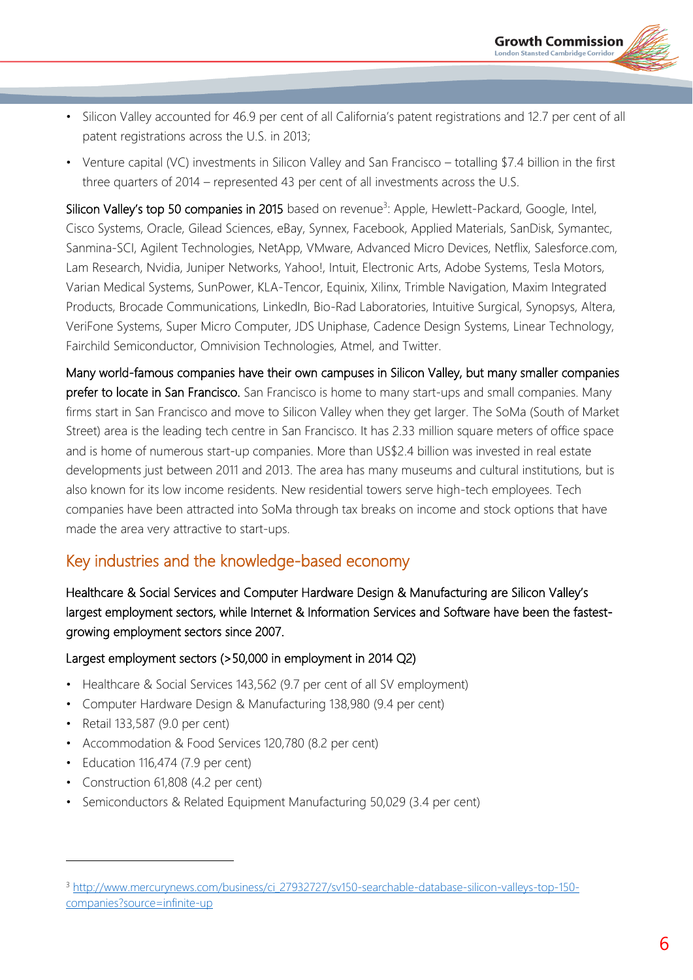- Silicon Valley accounted for 46.9 per cent of all California's patent registrations and 12.7 per cent of all patent registrations across the U.S. in 2013;
- Venture capital (VC) investments in Silicon Valley and San Francisco totalling \$7.4 billion in the first three quarters of 2014 – represented 43 per cent of all investments across the U.S.

Silicon Valley's top 50 companies in 2015 based on revenue<sup>3</sup>: Apple, Hewlett-Packard, Google, Intel, Cisco Systems, Oracle, Gilead Sciences, eBay, Synnex, Facebook, Applied Materials, SanDisk, Symantec, Sanmina-SCI, Agilent Technologies, NetApp, VMware, Advanced Micro Devices, Netflix, Salesforce.com, Lam Research, Nvidia, Juniper Networks, Yahoo!, Intuit, Electronic Arts, Adobe Systems, Tesla Motors, Varian Medical Systems, SunPower, KLA-Tencor, Equinix, Xilinx, Trimble Navigation, Maxim Integrated Products, Brocade Communications, LinkedIn, Bio-Rad Laboratories, Intuitive Surgical, Synopsys, Altera, VeriFone Systems, Super Micro Computer, JDS Uniphase, Cadence Design Systems, Linear Technology, Fairchild Semiconductor, Omnivision Technologies, Atmel, and Twitter.

Many world-famous companies have their own campuses in Silicon Valley, but many smaller companies prefer to locate in San Francisco. San Francisco is home to many start-ups and small companies. Many firms start in San Francisco and move to Silicon Valley when they get larger. The SoMa (South of Market Street) area is the leading tech centre in San Francisco. It has 2.33 million square meters of office space and is home of numerous start-up companies. More than US\$2.4 billion was invested in real estate developments just between 2011 and 2013. The area has many museums and cultural institutions, but is also known for its low income residents. New residential towers serve high-tech employees. Tech companies have been attracted into SoMa through tax breaks on income and stock options that have made the area very attractive to start-ups.

# Key industries and the knowledge-based economy

Healthcare & Social Services and Computer Hardware Design & Manufacturing are Silicon Valley's largest employment sectors, while Internet & Information Services and Software have been the fastestgrowing employment sectors since 2007.

#### Largest employment sectors (>50,000 in employment in 2014 Q2)

- Healthcare & Social Services 143,562 (9.7 per cent of all SV employment)
- Computer Hardware Design & Manufacturing 138,980 (9.4 per cent)
- Retail 133,587 (9.0 per cent)

- Accommodation & Food Services 120,780 (8.2 per cent)
- Education 116,474 (7.9 per cent)
- Construction 61,808 (4.2 per cent)
- Semiconductors & Related Equipment Manufacturing 50,029 (3.4 per cent)

<sup>3</sup> [http://www.mercurynews.com/business/ci\\_27932727/sv150-searchable-database-silicon-valleys-top-150](http://www.mercurynews.com/business/ci_27932727/sv150-searchable-database-silicon-valleys-top-150-companies?source=infinite-up) [companies?source=infinite-up](http://www.mercurynews.com/business/ci_27932727/sv150-searchable-database-silicon-valleys-top-150-companies?source=infinite-up)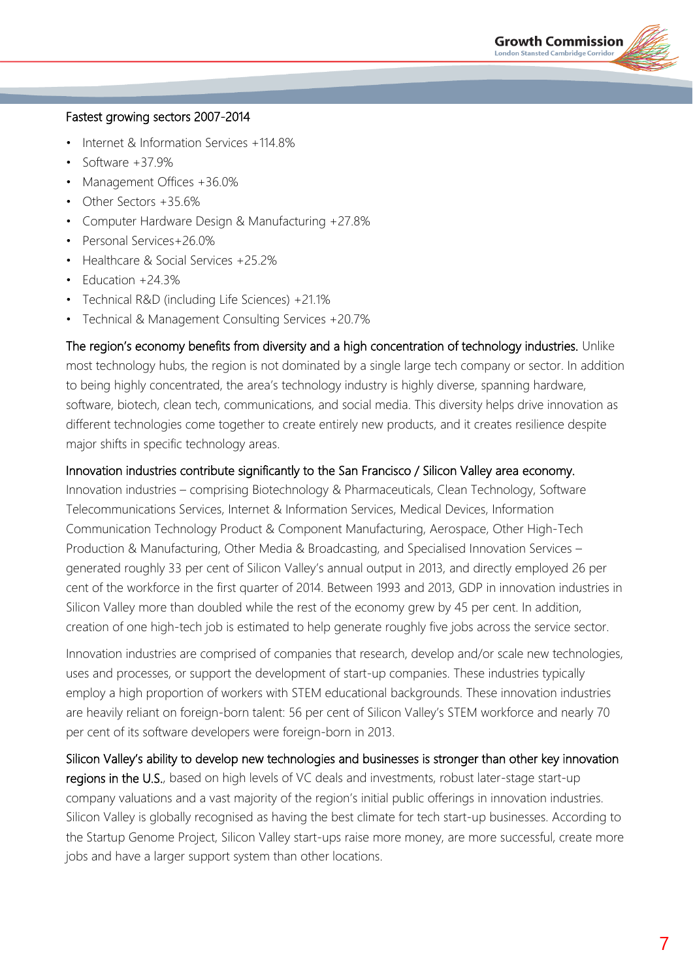#### Fastest growing sectors 2007-2014

- Internet & Information Services +114.8%
- Software  $+37.9%$
- Management Offices +36.0%
- Other Sectors +35.6%
- Computer Hardware Design & Manufacturing +27.8%
- Personal Services+26.0%
- Healthcare & Social Services +25.2%
- Education +24.3%
- Technical R&D (including Life Sciences) +21.1%
- Technical & Management Consulting Services +20.7%

The region's economy benefits from diversity and a high concentration of technology industries. Unlike most technology hubs, the region is not dominated by a single large tech company or sector. In addition to being highly concentrated, the area's technology industry is highly diverse, spanning hardware, software, biotech, clean tech, communications, and social media. This diversity helps drive innovation as different technologies come together to create entirely new products, and it creates resilience despite major shifts in specific technology areas.

#### Innovation industries contribute significantly to the San Francisco / Silicon Valley area economy.

Innovation industries – comprising Biotechnology & Pharmaceuticals, Clean Technology, Software Telecommunications Services, Internet & Information Services, Medical Devices, Information Communication Technology Product & Component Manufacturing, Aerospace, Other High-Tech Production & Manufacturing, Other Media & Broadcasting, and Specialised Innovation Services – generated roughly 33 per cent of Silicon Valley's annual output in 2013, and directly employed 26 per cent of the workforce in the first quarter of 2014. Between 1993 and 2013, GDP in innovation industries in Silicon Valley more than doubled while the rest of the economy grew by 45 per cent. In addition, creation of one high-tech job is estimated to help generate roughly five jobs across the service sector.

Innovation industries are comprised of companies that research, develop and/or scale new technologies, uses and processes, or support the development of start-up companies. These industries typically employ a high proportion of workers with STEM educational backgrounds. These innovation industries are heavily reliant on foreign-born talent: 56 per cent of Silicon Valley's STEM workforce and nearly 70 per cent of its software developers were foreign-born in 2013.

Silicon Valley's ability to develop new technologies and businesses is stronger than other key innovation regions in the U.S., based on high levels of VC deals and investments, robust later-stage start-up company valuations and a vast majority of the region's initial public offerings in innovation industries. Silicon Valley is globally recognised as having the best climate for tech start-up businesses. According to the Startup Genome Project, Silicon Valley start-ups raise more money, are more successful, create more jobs and have a larger support system than other locations.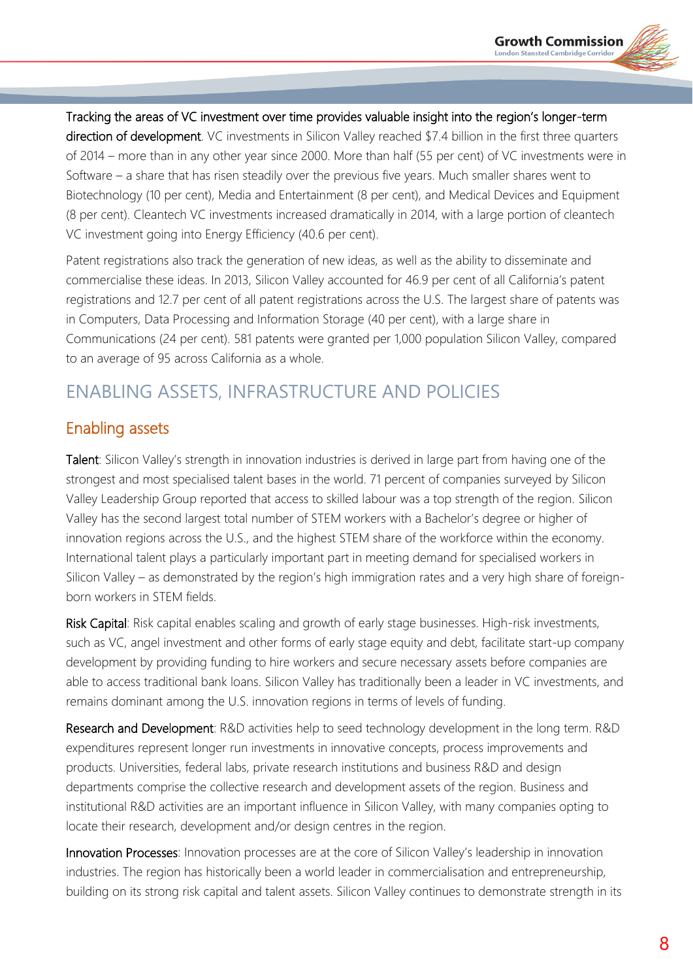Tracking the areas of VC investment over time provides valuable insight into the region's longer-term direction of development. VC investments in Silicon Valley reached \$7.4 billion in the first three quarters of 2014 – more than in any other year since 2000. More than half (55 per cent) of VC investments were in Software – a share that has risen steadily over the previous five years. Much smaller shares went to Biotechnology (10 per cent), Media and Entertainment (8 per cent), and Medical Devices and Equipment (8 per cent). Cleantech VC investments increased dramatically in 2014, with a large portion of cleantech VC investment going into Energy Efficiency (40.6 per cent).

Patent registrations also track the generation of new ideas, as well as the ability to disseminate and commercialise these ideas. In 2013, Silicon Valley accounted for 46.9 per cent of all California's patent registrations and 12.7 per cent of all patent registrations across the U.S. The largest share of patents was in Computers, Data Processing and Information Storage (40 per cent), with a large share in Communications (24 per cent). 581 patents were granted per 1,000 population Silicon Valley, compared to an average of 95 across California as a whole.

# ENABLING ASSETS, INFRASTRUCTURE AND POLICIES

# Enabling assets

Talent: Silicon Valley's strength in innovation industries is derived in large part from having one of the strongest and most specialised talent bases in the world. 71 percent of companies surveyed by Silicon Valley Leadership Group reported that access to skilled labour was a top strength of the region. Silicon Valley has the second largest total number of STEM workers with a Bachelor's degree or higher of innovation regions across the U.S., and the highest STEM share of the workforce within the economy. International talent plays a particularly important part in meeting demand for specialised workers in Silicon Valley – as demonstrated by the region's high immigration rates and a very high share of foreignborn workers in STEM fields.

Risk Capital: Risk capital enables scaling and growth of early stage businesses. High-risk investments, such as VC, angel investment and other forms of early stage equity and debt, facilitate start-up company development by providing funding to hire workers and secure necessary assets before companies are able to access traditional bank loans. Silicon Valley has traditionally been a leader in VC investments, and remains dominant among the U.S. innovation regions in terms of levels of funding.

Research and Development: R&D activities help to seed technology development in the long term. R&D expenditures represent longer run investments in innovative concepts, process improvements and products. Universities, federal labs, private research institutions and business R&D and design departments comprise the collective research and development assets of the region. Business and institutional R&D activities are an important influence in Silicon Valley, with many companies opting to locate their research, development and/or design centres in the region.

Innovation Processes: Innovation processes are at the core of Silicon Valley's leadership in innovation industries. The region has historically been a world leader in commercialisation and entrepreneurship, building on its strong risk capital and talent assets. Silicon Valley continues to demonstrate strength in its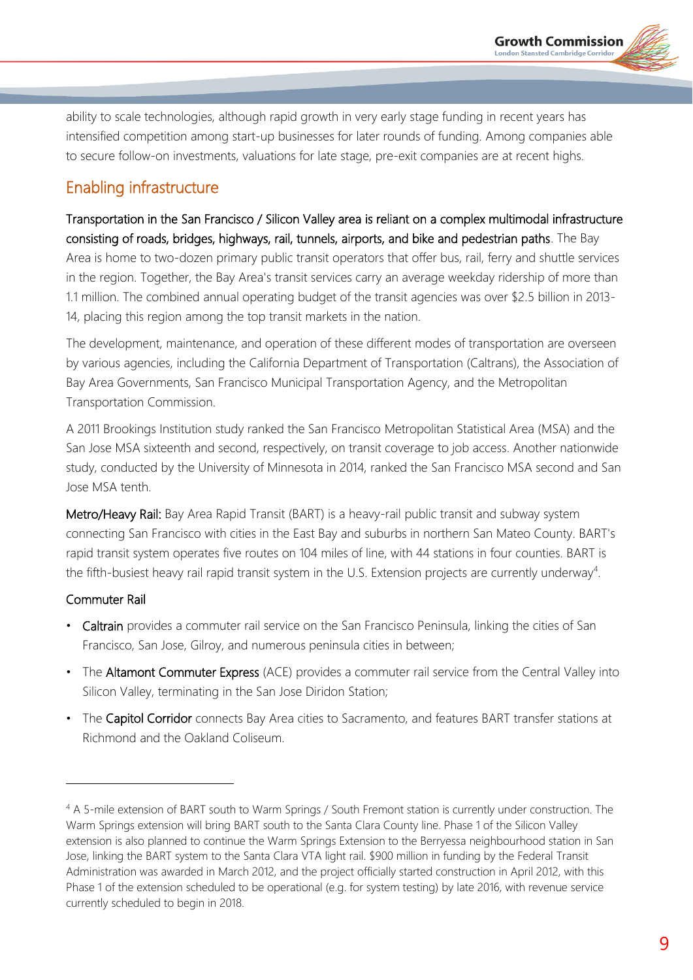ability to scale technologies, although rapid growth in very early stage funding in recent years has intensified competition among start-up businesses for later rounds of funding. Among companies able to secure follow-on investments, valuations for late stage, pre-exit companies are at recent highs.

# Enabling infrastructure

Transportation in the San Francisco / Silicon Valley area is reliant on a complex multimodal infrastructure consisting of roads, bridges, highways, rail, tunnels, airports, and bike and pedestrian paths. The Bay Area is home to two-dozen primary public transit operators that offer bus, rail, ferry and shuttle services in the region. Together, the Bay Area's transit services carry an average weekday ridership of more than 1.1 million. The combined annual operating budget of the transit agencies was over \$2.5 billion in 2013- 14, placing this region among the top transit markets in the nation.

The development, maintenance, and operation of these different modes of transportation are overseen by various agencies, including the California Department of Transportation (Caltrans), the Association of Bay Area Governments, San Francisco Municipal Transportation Agency, and the Metropolitan Transportation Commission.

A 2011 Brookings Institution study ranked the San Francisco Metropolitan Statistical Area (MSA) and the San Jose MSA sixteenth and second, respectively, on transit coverage to job access. Another nationwide study, conducted by the University of Minnesota in 2014, ranked the San Francisco MSA second and San Jose MSA tenth.

Metro/Heavy Rail: Bay Area Rapid Transit (BART) is a heavy-rail public transit and subway system connecting San Francisco with cities in the East Bay and suburbs in northern San Mateo County. BART's rapid transit system operates five routes on 104 miles of line, with 44 stations in four counties. BART is the fifth-busiest heavy rail rapid transit system in the U.S. Extension projects are currently underway<sup>4</sup>.

### Commuter Rail

 $\overline{a}$ 

- Caltrain provides a commuter rail service on the San Francisco Peninsula, linking the cities of San Francisco, San Jose, Gilroy, and numerous peninsula cities in between;
- The Altamont Commuter Express (ACE) provides a commuter rail service from the Central Valley into Silicon Valley, terminating in the San Jose Diridon Station;
- The Capitol Corridor connects Bay Area cities to Sacramento, and features BART transfer stations at Richmond and the Oakland Coliseum.

<sup>4</sup> A 5-mile extension of BART south to Warm Springs / South Fremont station is currently under construction. The Warm Springs extension will bring BART south to the Santa Clara County line. Phase 1 of the Silicon Valley extension is also planned to continue the Warm Springs Extension to the Berryessa neighbourhood station in San Jose, linking the BART system to the Santa Clara VTA light rail. \$900 million in funding by the Federal Transit Administration was awarded in March 2012, and the project officially started construction in April 2012, with this Phase 1 of the extension scheduled to be operational (e.g. for system testing) by late 2016, with revenue service currently scheduled to begin in 2018.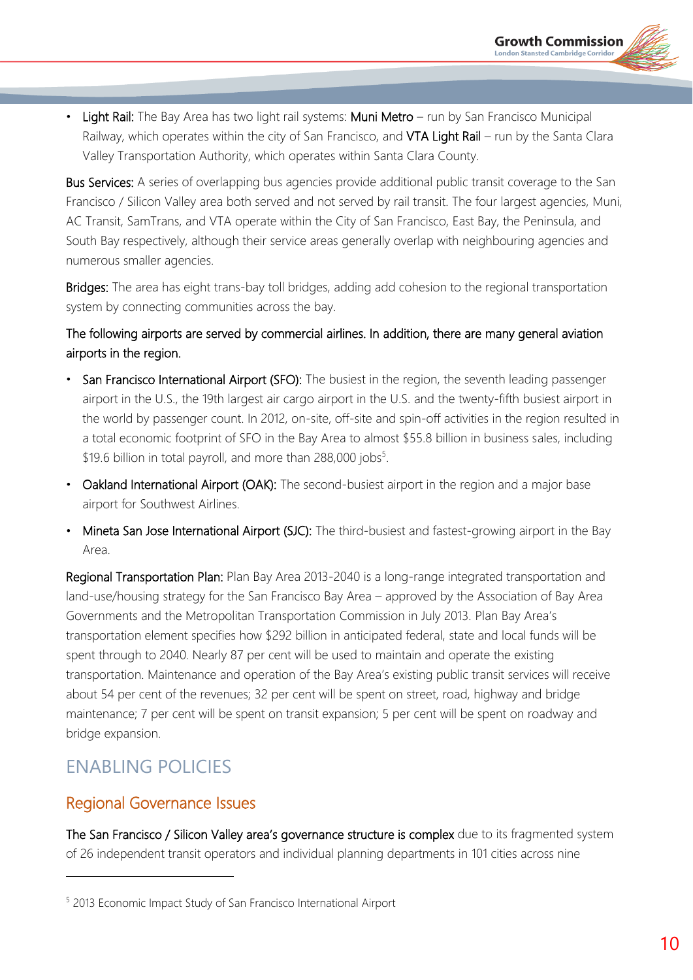Light Rail: The Bay Area has two light rail systems: Muni Metro – run by San Francisco Municipal Railway, which operates within the city of San Francisco, and VTA Light Rail – run by the Santa Clara Valley Transportation Authority, which operates within Santa Clara County.

**Bus Services:** A series of overlapping bus agencies provide additional public transit coverage to the San Francisco / Silicon Valley area both served and not served by rail transit. The four largest agencies, Muni, AC Transit, SamTrans, and VTA operate within the City of San Francisco, East Bay, the Peninsula, and South Bay respectively, although their service areas generally overlap with neighbouring agencies and numerous smaller agencies.

Bridges: The area has eight trans-bay toll bridges, adding add cohesion to the regional transportation system by connecting communities across the bay.

### The following airports are served by commercial airlines. In addition, there are many general aviation airports in the region.

- San Francisco International Airport (SFO): The busiest in the region, the seventh leading passenger airport in the U.S., the 19th largest air cargo airport in the U.S. and the twenty-fifth busiest airport in the world by passenger count. In 2012, on-site, off-site and spin-off activities in the region resulted in a total economic footprint of SFO in the Bay Area to almost \$55.8 billion in business sales, including \$19.6 billion in total payroll, and more than 288,000 jobs<sup>5</sup>.
- Oakland International Airport (OAK): The second-busiest airport in the region and a major base airport for Southwest Airlines.
- Mineta San Jose International Airport (SJC): The third-busiest and fastest-growing airport in the Bay Area.

Regional Transportation Plan: Plan Bay Area 2013-2040 is a long-range integrated transportation and land-use/housing strategy for the San Francisco Bay Area – approved by the Association of Bay Area Governments and the Metropolitan Transportation Commission in July 2013. Plan Bay Area's transportation element specifies how \$292 billion in anticipated federal, state and local funds will be spent through to 2040. Nearly 87 per cent will be used to maintain and operate the existing transportation. Maintenance and operation of the Bay Area's existing public transit services will receive about 54 per cent of the revenues; 32 per cent will be spent on street, road, highway and bridge maintenance; 7 per cent will be spent on transit expansion; 5 per cent will be spent on roadway and bridge expansion.

# ENABLING POLICIES

# Regional Governance Issues

The San Francisco / Silicon Valley area's governance structure is complex due to its fragmented system of 26 independent transit operators and individual planning departments in 101 cities across nine

<sup>5</sup> 2013 Economic Impact Study of San Francisco International Airport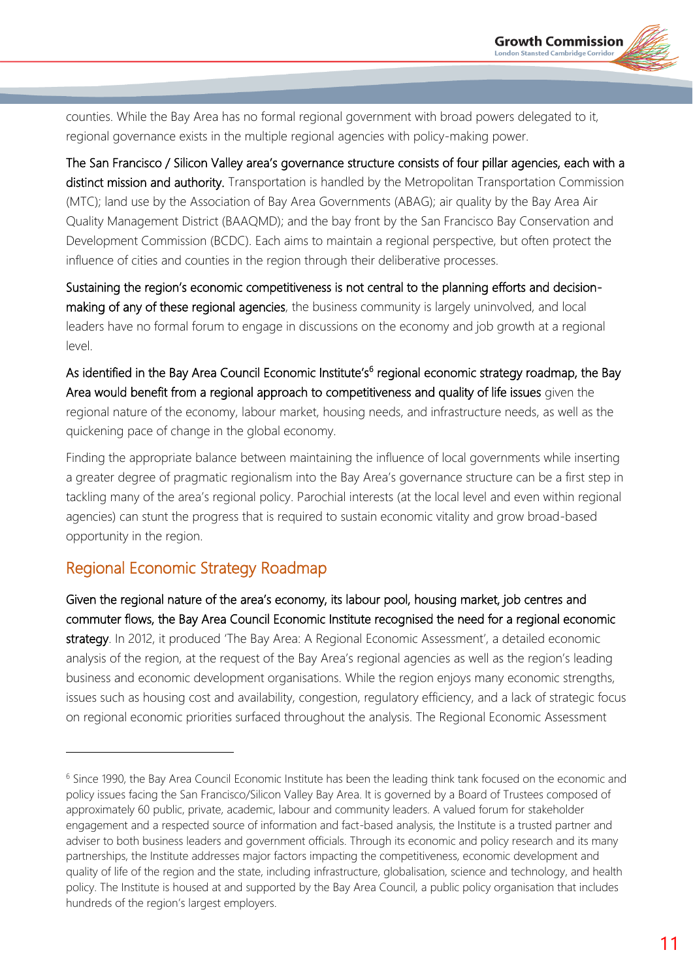counties. While the Bay Area has no formal regional government with broad powers delegated to it, regional governance exists in the multiple regional agencies with policy-making power.

The San Francisco / Silicon Valley area's governance structure consists of four pillar agencies, each with a distinct mission and authority. Transportation is handled by the Metropolitan Transportation Commission (MTC); land use by the Association of Bay Area Governments (ABAG); air quality by the Bay Area Air Quality Management District (BAAQMD); and the bay front by the San Francisco Bay Conservation and Development Commission (BCDC). Each aims to maintain a regional perspective, but often protect the influence of cities and counties in the region through their deliberative processes.

Sustaining the region's economic competitiveness is not central to the planning efforts and decisionmaking of any of these regional agencies, the business community is largely uninvolved, and local leaders have no formal forum to engage in discussions on the economy and job growth at a regional level.

As identified in the Bay Area Council Economic Institute's<sup>6</sup> regional economic strategy roadmap, the Bay Area would benefit from a regional approach to competitiveness and quality of life issues given the regional nature of the economy, labour market, housing needs, and infrastructure needs, as well as the quickening pace of change in the global economy.

Finding the appropriate balance between maintaining the influence of local governments while inserting a greater degree of pragmatic regionalism into the Bay Area's governance structure can be a first step in tackling many of the area's regional policy. Parochial interests (at the local level and even within regional agencies) can stunt the progress that is required to sustain economic vitality and grow broad-based opportunity in the region.

# Regional Economic Strategy Roadmap

 $\overline{a}$ 

Given the regional nature of the area's economy, its labour pool, housing market, job centres and commuter flows, the Bay Area Council Economic Institute recognised the need for a regional economic strategy. In 2012, it produced 'The Bay Area: A Regional Economic Assessment', a detailed economic analysis of the region, at the request of the Bay Area's regional agencies as well as the region's leading business and economic development organisations. While the region enjoys many economic strengths, issues such as housing cost and availability, congestion, regulatory efficiency, and a lack of strategic focus on regional economic priorities surfaced throughout the analysis. The Regional Economic Assessment

<sup>&</sup>lt;sup>6</sup> Since 1990, the Bay Area Council Economic Institute has been the leading think tank focused on the economic and policy issues facing the San Francisco/Silicon Valley Bay Area. It is governed by a Board of Trustees composed of approximately 60 public, private, academic, labour and community leaders. A valued forum for stakeholder engagement and a respected source of information and fact-based analysis, the Institute is a trusted partner and adviser to both business leaders and government officials. Through its economic and policy research and its many partnerships, the Institute addresses major factors impacting the competitiveness, economic development and quality of life of the region and the state, including infrastructure, globalisation, science and technology, and health policy. The Institute is housed at and supported by the Bay Area Council, a public policy organisation that includes hundreds of the region's largest employers.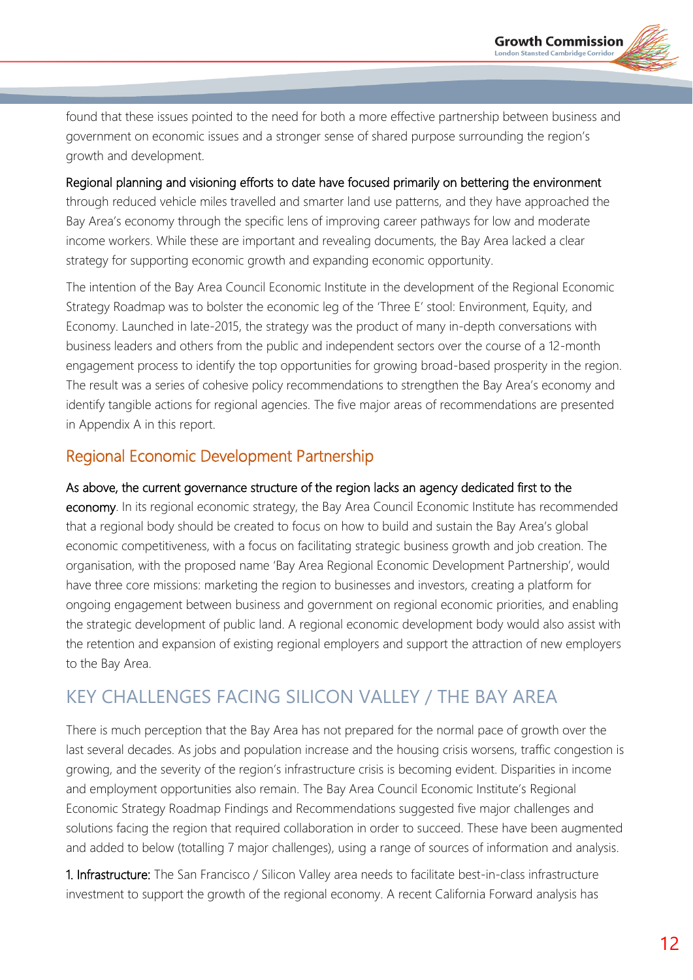found that these issues pointed to the need for both a more effective partnership between business and government on economic issues and a stronger sense of shared purpose surrounding the region's growth and development.

Regional planning and visioning efforts to date have focused primarily on bettering the environment through reduced vehicle miles travelled and smarter land use patterns, and they have approached the Bay Area's economy through the specific lens of improving career pathways for low and moderate income workers. While these are important and revealing documents, the Bay Area lacked a clear strategy for supporting economic growth and expanding economic opportunity.

The intention of the Bay Area Council Economic Institute in the development of the Regional Economic Strategy Roadmap was to bolster the economic leg of the 'Three E' stool: Environment, Equity, and Economy. Launched in late-2015, the strategy was the product of many in-depth conversations with business leaders and others from the public and independent sectors over the course of a 12-month engagement process to identify the top opportunities for growing broad-based prosperity in the region. The result was a series of cohesive policy recommendations to strengthen the Bay Area's economy and identify tangible actions for regional agencies. The five major areas of recommendations are presented in Appendix A in this report.

# Regional Economic Development Partnership

As above, the current governance structure of the region lacks an agency dedicated first to the economy. In its regional economic strategy, the Bay Area Council Economic Institute has recommended that a regional body should be created to focus on how to build and sustain the Bay Area's global economic competitiveness, with a focus on facilitating strategic business growth and job creation. The organisation, with the proposed name 'Bay Area Regional Economic Development Partnership', would have three core missions: marketing the region to businesses and investors, creating a platform for ongoing engagement between business and government on regional economic priorities, and enabling the strategic development of public land. A regional economic development body would also assist with the retention and expansion of existing regional employers and support the attraction of new employers to the Bay Area.

# KEY CHALLENGES FACING SILICON VALLEY / THE BAY AREA

There is much perception that the Bay Area has not prepared for the normal pace of growth over the last several decades. As jobs and population increase and the housing crisis worsens, traffic congestion is growing, and the severity of the region's infrastructure crisis is becoming evident. Disparities in income and employment opportunities also remain. The Bay Area Council Economic Institute's Regional Economic Strategy Roadmap Findings and Recommendations suggested five major challenges and solutions facing the region that required collaboration in order to succeed. These have been augmented and added to below (totalling 7 major challenges), using a range of sources of information and analysis.

1. Infrastructure: The San Francisco / Silicon Valley area needs to facilitate best-in-class infrastructure investment to support the growth of the regional economy. A recent California Forward analysis has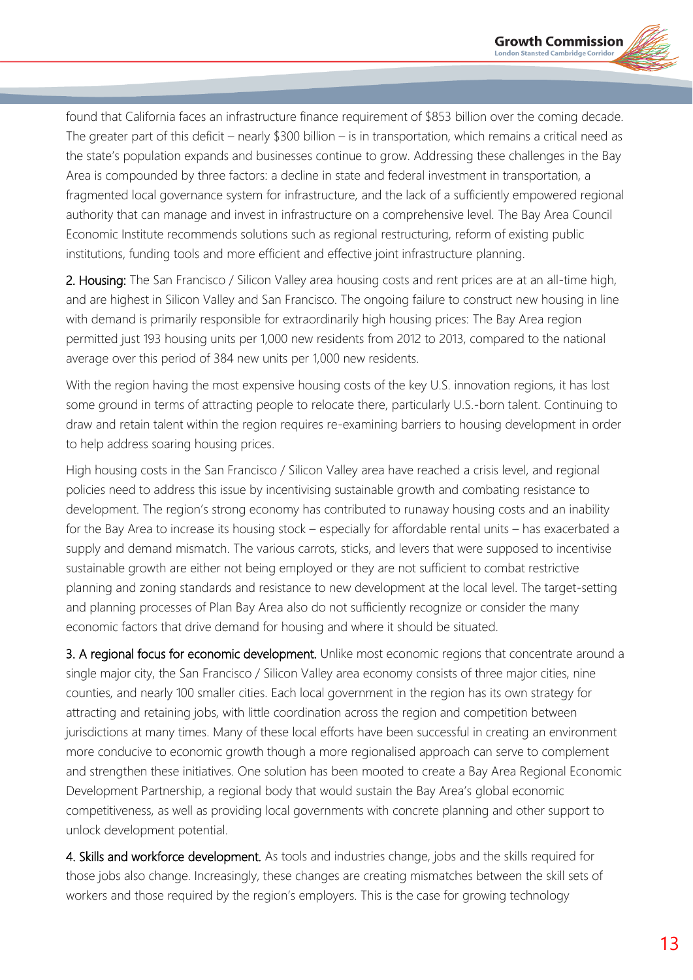found that California faces an infrastructure finance requirement of \$853 billion over the coming decade. The greater part of this deficit – nearly \$300 billion – is in transportation, which remains a critical need as the state's population expands and businesses continue to grow. Addressing these challenges in the Bay Area is compounded by three factors: a decline in state and federal investment in transportation, a fragmented local governance system for infrastructure, and the lack of a sufficiently empowered regional authority that can manage and invest in infrastructure on a comprehensive level. The Bay Area Council Economic Institute recommends solutions such as regional restructuring, reform of existing public institutions, funding tools and more efficient and effective joint infrastructure planning.

2. Housing: The San Francisco / Silicon Valley area housing costs and rent prices are at an all-time high, and are highest in Silicon Valley and San Francisco. The ongoing failure to construct new housing in line with demand is primarily responsible for extraordinarily high housing prices: The Bay Area region permitted just 193 housing units per 1,000 new residents from 2012 to 2013, compared to the national average over this period of 384 new units per 1,000 new residents.

With the region having the most expensive housing costs of the key U.S. innovation regions, it has lost some ground in terms of attracting people to relocate there, particularly U.S.-born talent. Continuing to draw and retain talent within the region requires re-examining barriers to housing development in order to help address soaring housing prices.

High housing costs in the San Francisco / Silicon Valley area have reached a crisis level, and regional policies need to address this issue by incentivising sustainable growth and combating resistance to development. The region's strong economy has contributed to runaway housing costs and an inability for the Bay Area to increase its housing stock – especially for affordable rental units – has exacerbated a supply and demand mismatch. The various carrots, sticks, and levers that were supposed to incentivise sustainable growth are either not being employed or they are not sufficient to combat restrictive planning and zoning standards and resistance to new development at the local level. The target-setting and planning processes of Plan Bay Area also do not sufficiently recognize or consider the many economic factors that drive demand for housing and where it should be situated.

3. A regional focus for economic development. Unlike most economic regions that concentrate around a single major city, the San Francisco / Silicon Valley area economy consists of three major cities, nine counties, and nearly 100 smaller cities. Each local government in the region has its own strategy for attracting and retaining jobs, with little coordination across the region and competition between jurisdictions at many times. Many of these local efforts have been successful in creating an environment more conducive to economic growth though a more regionalised approach can serve to complement and strengthen these initiatives. One solution has been mooted to create a Bay Area Regional Economic Development Partnership, a regional body that would sustain the Bay Area's global economic competitiveness, as well as providing local governments with concrete planning and other support to unlock development potential.

4. Skills and workforce development. As tools and industries change, jobs and the skills required for those jobs also change. Increasingly, these changes are creating mismatches between the skill sets of workers and those required by the region's employers. This is the case for growing technology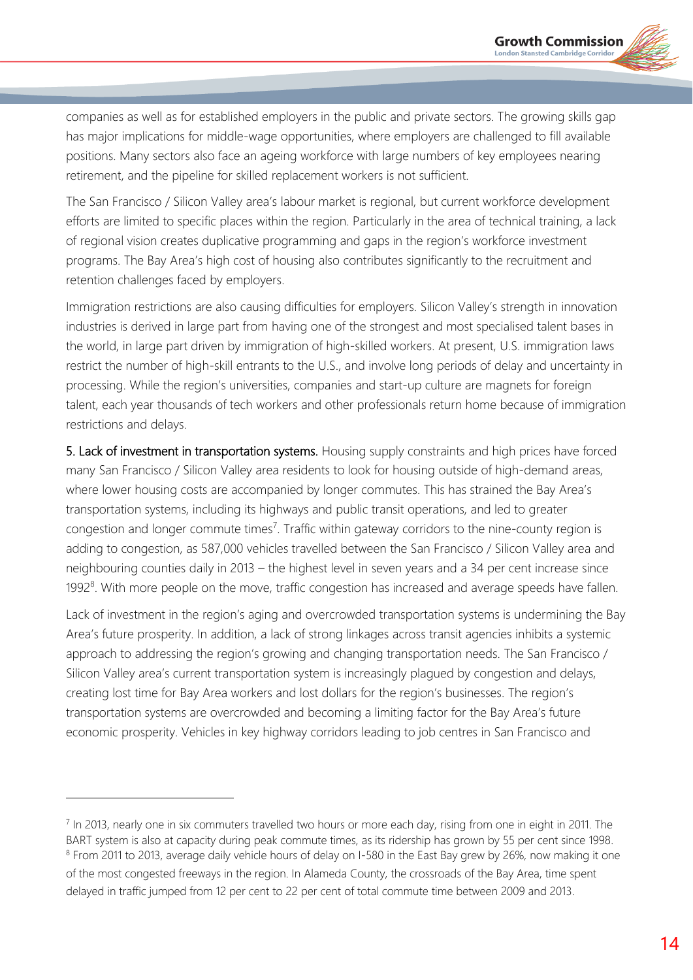companies as well as for established employers in the public and private sectors. The growing skills gap has major implications for middle-wage opportunities, where employers are challenged to fill available positions. Many sectors also face an ageing workforce with large numbers of key employees nearing retirement, and the pipeline for skilled replacement workers is not sufficient.

The San Francisco / Silicon Valley area's labour market is regional, but current workforce development efforts are limited to specific places within the region. Particularly in the area of technical training, a lack of regional vision creates duplicative programming and gaps in the region's workforce investment programs. The Bay Area's high cost of housing also contributes significantly to the recruitment and retention challenges faced by employers.

Immigration restrictions are also causing difficulties for employers. Silicon Valley's strength in innovation industries is derived in large part from having one of the strongest and most specialised talent bases in the world, in large part driven by immigration of high-skilled workers. At present, U.S. immigration laws restrict the number of high-skill entrants to the U.S., and involve long periods of delay and uncertainty in processing. While the region's universities, companies and start-up culture are magnets for foreign talent, each year thousands of tech workers and other professionals return home because of immigration restrictions and delays.

5. Lack of investment in transportation systems. Housing supply constraints and high prices have forced many San Francisco / Silicon Valley area residents to look for housing outside of high-demand areas, where lower housing costs are accompanied by longer commutes. This has strained the Bay Area's transportation systems, including its highways and public transit operations, and led to greater congestion and longer commute times<sup>7</sup>. Traffic within gateway corridors to the nine-county region is adding to congestion, as 587,000 vehicles travelled between the San Francisco / Silicon Valley area and neighbouring counties daily in 2013 – the highest level in seven years and a 34 per cent increase since 1992<sup>8</sup>. With more people on the move, traffic congestion has increased and average speeds have fallen.

Lack of investment in the region's aging and overcrowded transportation systems is undermining the Bay Area's future prosperity. In addition, a lack of strong linkages across transit agencies inhibits a systemic approach to addressing the region's growing and changing transportation needs. The San Francisco / Silicon Valley area's current transportation system is increasingly plagued by congestion and delays, creating lost time for Bay Area workers and lost dollars for the region's businesses. The region's transportation systems are overcrowded and becoming a limiting factor for the Bay Area's future economic prosperity. Vehicles in key highway corridors leading to job centres in San Francisco and

<sup>&</sup>lt;sup>7</sup> In 2013, nearly one in six commuters travelled two hours or more each day, rising from one in eight in 2011. The BART system is also at capacity during peak commute times, as its ridership has grown by 55 per cent since 1998. <sup>8</sup> From 2011 to 2013, average daily vehicle hours of delay on I-580 in the East Bay grew by 26%, now making it one of the most congested freeways in the region. In Alameda County, the crossroads of the Bay Area, time spent delayed in traffic jumped from 12 per cent to 22 per cent of total commute time between 2009 and 2013.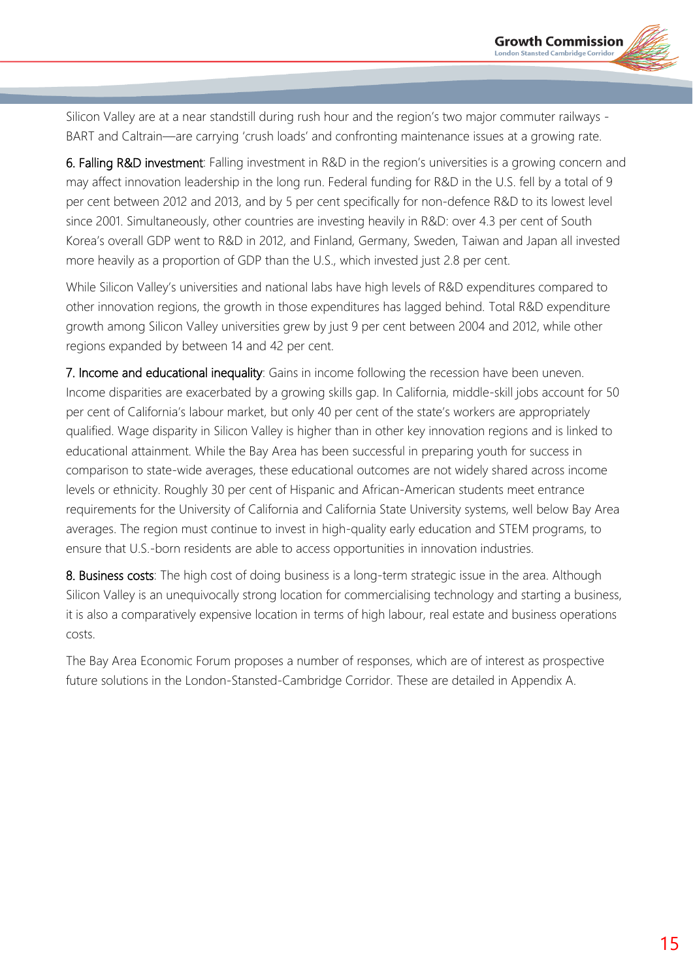Silicon Valley are at a near standstill during rush hour and the region's two major commuter railways - BART and Caltrain—are carrying 'crush loads' and confronting maintenance issues at a growing rate.

6. Falling R&D investment: Falling investment in R&D in the region's universities is a growing concern and may affect innovation leadership in the long run. Federal funding for R&D in the U.S. fell by a total of 9 per cent between 2012 and 2013, and by 5 per cent specifically for non-defence R&D to its lowest level since 2001. Simultaneously, other countries are investing heavily in R&D: over 4.3 per cent of South Korea's overall GDP went to R&D in 2012, and Finland, Germany, Sweden, Taiwan and Japan all invested more heavily as a proportion of GDP than the U.S., which invested just 2.8 per cent.

While Silicon Valley's universities and national labs have high levels of R&D expenditures compared to other innovation regions, the growth in those expenditures has lagged behind. Total R&D expenditure growth among Silicon Valley universities grew by just 9 per cent between 2004 and 2012, while other regions expanded by between 14 and 42 per cent.

7. Income and educational inequality: Gains in income following the recession have been uneven. Income disparities are exacerbated by a growing skills gap. In California, middle-skill jobs account for 50 per cent of California's labour market, but only 40 per cent of the state's workers are appropriately qualified. Wage disparity in Silicon Valley is higher than in other key innovation regions and is linked to educational attainment. While the Bay Area has been successful in preparing youth for success in comparison to state-wide averages, these educational outcomes are not widely shared across income levels or ethnicity. Roughly 30 per cent of Hispanic and African-American students meet entrance requirements for the University of California and California State University systems, well below Bay Area averages. The region must continue to invest in high-quality early education and STEM programs, to ensure that U.S.-born residents are able to access opportunities in innovation industries.

8. Business costs: The high cost of doing business is a long-term strategic issue in the area. Although Silicon Valley is an unequivocally strong location for commercialising technology and starting a business, it is also a comparatively expensive location in terms of high labour, real estate and business operations costs.

The Bay Area Economic Forum proposes a number of responses, which are of interest as prospective future solutions in the London-Stansted-Cambridge Corridor. These are detailed in Appendix A.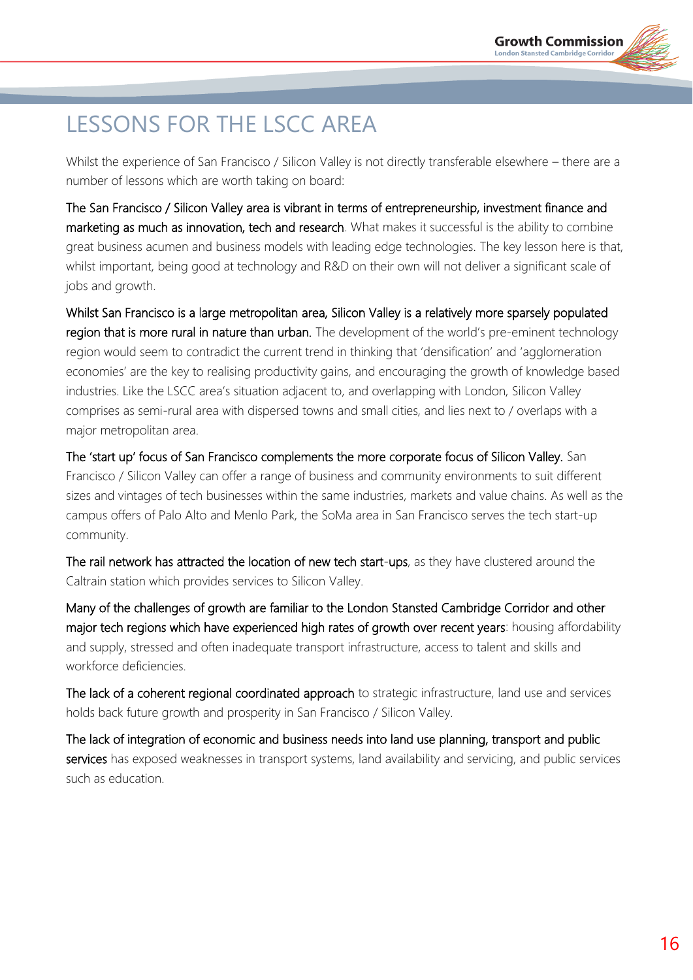# LESSONS FOR THE LSCC AREA

Whilst the experience of San Francisco / Silicon Valley is not directly transferable elsewhere – there are a number of lessons which are worth taking on board:

The San Francisco / Silicon Valley area is vibrant in terms of entrepreneurship, investment finance and marketing as much as innovation, tech and research. What makes it successful is the ability to combine great business acumen and business models with leading edge technologies. The key lesson here is that, whilst important, being good at technology and R&D on their own will not deliver a significant scale of jobs and growth.

Whilst San Francisco is a large metropolitan area, Silicon Valley is a relatively more sparsely populated region that is more rural in nature than urban. The development of the world's pre-eminent technology region would seem to contradict the current trend in thinking that 'densification' and 'agglomeration economies' are the key to realising productivity gains, and encouraging the growth of knowledge based industries. Like the LSCC area's situation adjacent to, and overlapping with London, Silicon Valley comprises as semi-rural area with dispersed towns and small cities, and lies next to / overlaps with a major metropolitan area.

The 'start up' focus of San Francisco complements the more corporate focus of Silicon Valley. San Francisco / Silicon Valley can offer a range of business and community environments to suit different sizes and vintages of tech businesses within the same industries, markets and value chains. As well as the campus offers of Palo Alto and Menlo Park, the SoMa area in San Francisco serves the tech start-up community.

The rail network has attracted the location of new tech start-ups, as they have clustered around the Caltrain station which provides services to Silicon Valley.

Many of the challenges of growth are familiar to the London Stansted Cambridge Corridor and other major tech regions which have experienced high rates of growth over recent years: housing affordability and supply, stressed and often inadequate transport infrastructure, access to talent and skills and workforce deficiencies.

The lack of a coherent regional coordinated approach to strategic infrastructure, land use and services holds back future growth and prosperity in San Francisco / Silicon Valley.

The lack of integration of economic and business needs into land use planning, transport and public services has exposed weaknesses in transport systems, land availability and servicing, and public services such as education.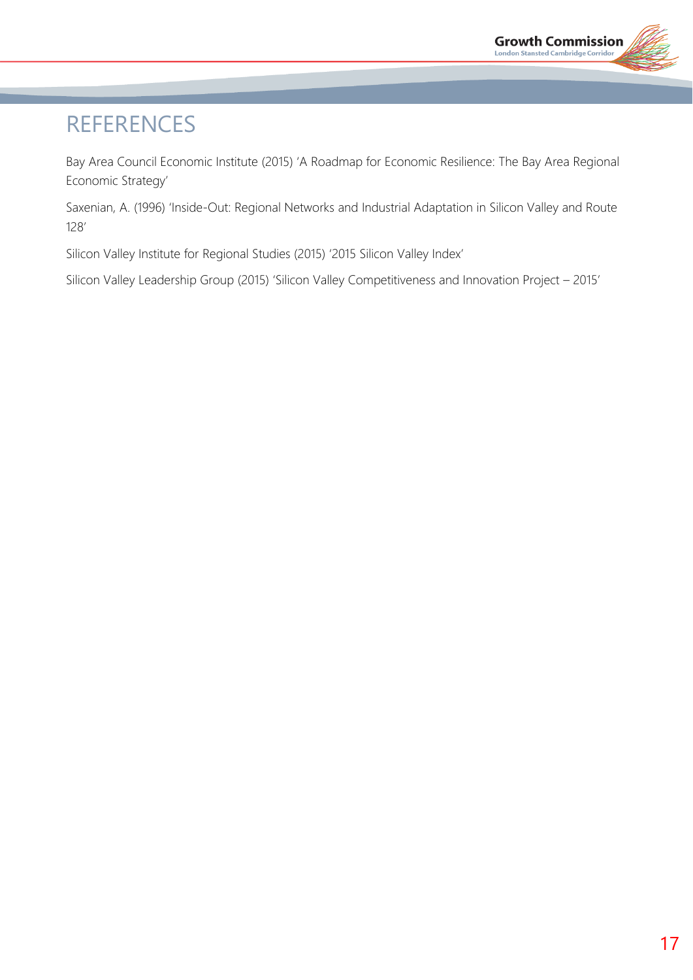# **REFERENCES**

Bay Area Council Economic Institute (2015) 'A Roadmap for Economic Resilience: The Bay Area Regional Economic Strategy'

Saxenian, A. (1996) 'Inside-Out: Regional Networks and Industrial Adaptation in Silicon Valley and Route 128'

Silicon Valley Institute for Regional Studies (2015) '2015 Silicon Valley Index'

Silicon Valley Leadership Group (2015) 'Silicon Valley Competitiveness and Innovation Project – 2015'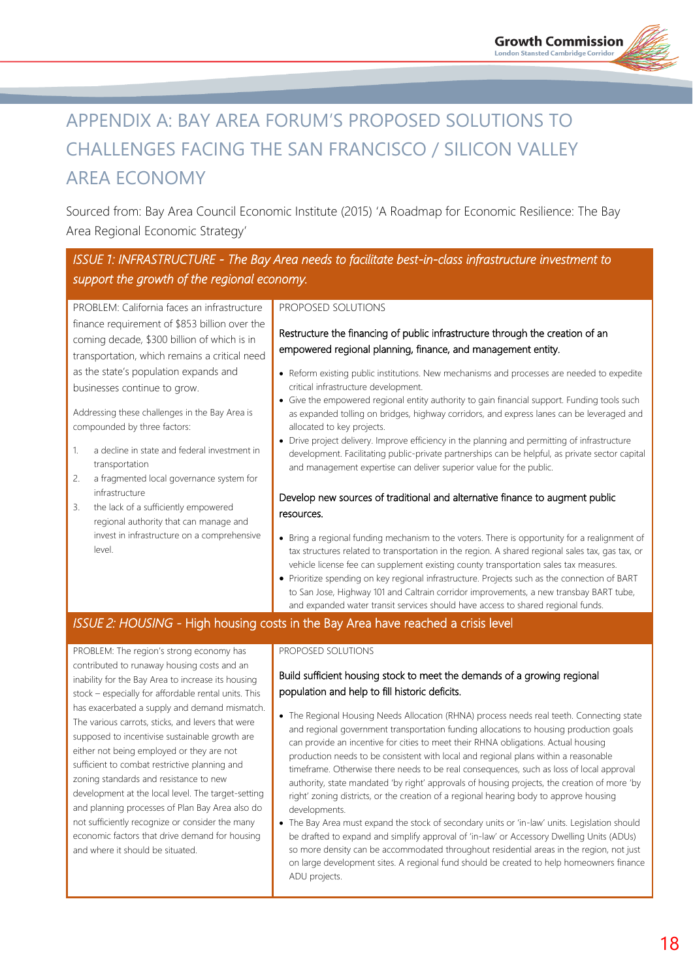# APPENDIX A: BAY AREA FORUM'S PROPOSED SOLUTIONS TO CHALLENGES FACING THE SAN FRANCISCO / SILICON VALLEY AREA ECONOMY

Sourced from: Bay Area Council Economic Institute (2015) 'A Roadmap for Economic Resilience: The Bay Area Regional Economic Strategy'

### *ISSUE 1: INFRASTRUCTURE - The Bay Area needs to facilitate best-in-class infrastructure investment to support the growth of the regional economy.*

PROBLEM: California faces an infrastructure finance requirement of \$853 billion over the coming decade, \$300 billion of which is in transportation, which remains a critical need as the state's population expands and businesses continue to grow.

Addressing these challenges in the Bay Area is compounded by three factors:

- a decline in state and federal investment in transportation
- 2. a fragmented local governance system for infrastructure
- 3. the lack of a sufficiently empowered regional authority that can manage and invest in infrastructure on a comprehensive level.

#### PROPOSED SOLUTIONS

Restructure the financing of public infrastructure through the creation of an empowered regional planning, finance, and management entity.

- Reform existing public institutions. New mechanisms and processes are needed to expedite critical infrastructure development.
- Give the empowered regional entity authority to gain financial support. Funding tools such as expanded tolling on bridges, highway corridors, and express lanes can be leveraged and allocated to key projects.
- Drive project delivery. Improve efficiency in the planning and permitting of infrastructure development. Facilitating public-private partnerships can be helpful, as private sector capital and management expertise can deliver superior value for the public.

#### Develop new sources of traditional and alternative finance to augment public resources.

- Bring a regional funding mechanism to the voters. There is opportunity for a realignment of tax structures related to transportation in the region. A shared regional sales tax, gas tax, or vehicle license fee can supplement existing county transportation sales tax measures.
- Prioritize spending on key regional infrastructure. Projects such as the connection of BART to San Jose, Highway 101 and Caltrain corridor improvements, a new transbay BART tube, and expanded water transit services should have access to shared regional funds.

#### *ISSUE 2: HOUSING -* High housing costs in the Bay Area have reached a crisis level

PROBLEM: The region's strong economy has contributed to runaway housing costs and an inability for the Bay Area to increase its housing stock – especially for affordable rental units. This has exacerbated a supply and demand mismatch. The various carrots, sticks, and levers that were supposed to incentivise sustainable growth are either not being employed or they are not sufficient to combat restrictive planning and zoning standards and resistance to new development at the local level. The target-setting and planning processes of Plan Bay Area also do not sufficiently recognize or consider the many economic factors that drive demand for housing and where it should be situated.

#### PROPOSED SOLUTIONS

#### Build sufficient housing stock to meet the demands of a growing regional population and help to fill historic deficits.

- The Regional Housing Needs Allocation (RHNA) process needs real teeth. Connecting state and regional government transportation funding allocations to housing production goals can provide an incentive for cities to meet their RHNA obligations. Actual housing production needs to be consistent with local and regional plans within a reasonable timeframe. Otherwise there needs to be real consequences, such as loss of local approval authority, state mandated 'by right' approvals of housing projects, the creation of more 'by right' zoning districts, or the creation of a regional hearing body to approve housing developments.
- The Bay Area must expand the stock of secondary units or 'in-law' units. Legislation should be drafted to expand and simplify approval of 'in-law' or Accessory Dwelling Units (ADUs) so more density can be accommodated throughout residential areas in the region, not just on large development sites. A regional fund should be created to help homeowners finance ADU projects.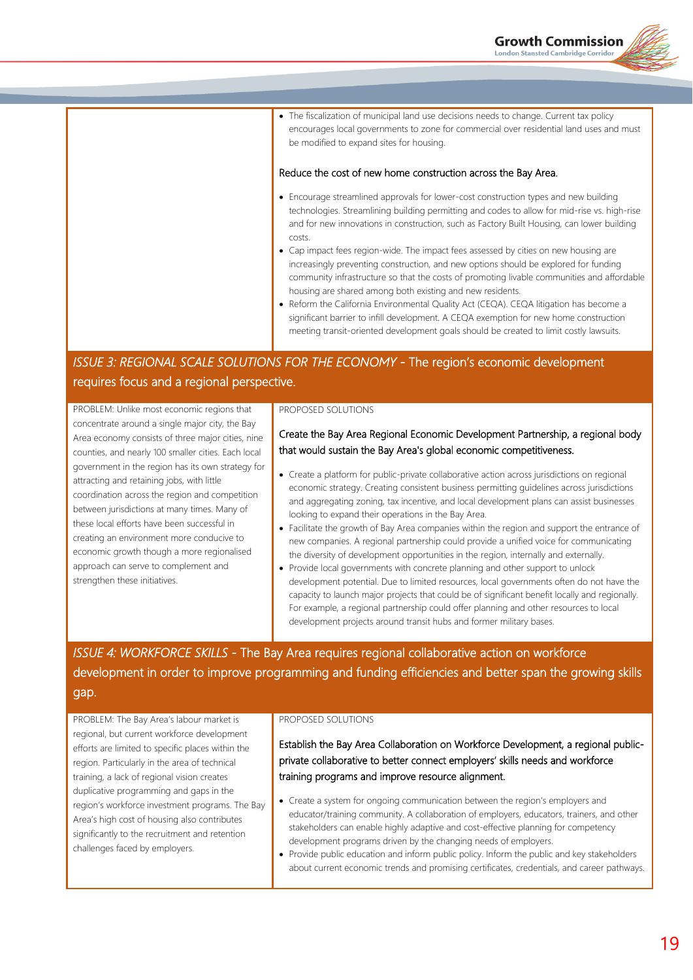The fiscalization of municipal land use decisions needs to change. Current tax policy encourages local governments to zone for commercial over residential land uses and must be modified to expand sites for housing.

#### Reduce the cost of new home construction across the Bay Area.

- Encourage streamlined approvals for lower-cost construction types and new building technologies. Streamlining building permitting and codes to allow for mid-rise vs. high-rise and for new innovations in construction, such as Factory Built Housing, can lower building costs.
- Cap impact fees region-wide. The impact fees assessed by cities on new housing are increasingly preventing construction, and new options should be explored for funding community infrastructure so that the costs of promoting livable communities and affordable housing are shared among both existing and new residents.
- Reform the California Environmental Quality Act (CEQA). CEQA litigation has become a significant barrier to infill development. A CEQA exemption for new home construction meeting transit-oriented development goals should be created to limit costly lawsuits.

### *ISSUE 3: REGIONAL SCALE SOLUTIONS FOR THE ECONOMY - The region's economic development* requires focus and a regional perspective.

PROBLEM: Unlike most economic regions that concentrate around a single major city, the Bay Area economy consists of three major cities, nine counties, and nearly 100 smaller cities. Each local government in the region has its own strategy for attracting and retaining jobs, with little coordination across the region and competition between jurisdictions at many times. Many of these local efforts have been successful in creating an environment more conducive to economic growth though a more regionalised approach can serve to complement and strengthen these initiatives.

#### PROPOSED SOLUTIONS

#### Create the Bay Area Regional Economic Development Partnership, a regional body that would sustain the Bay Area's global economic competitiveness.

- Create a platform for public-private collaborative action across jurisdictions on regional economic strategy. Creating consistent business permitting guidelines across jurisdictions and aggregating zoning, tax incentive, and local development plans can assist businesses looking to expand their operations in the Bay Area.
- Facilitate the growth of Bay Area companies within the region and support the entrance of new companies. A regional partnership could provide a unified voice for communicating the diversity of development opportunities in the region, internally and externally.
- Provide local governments with concrete planning and other support to unlock development potential. Due to limited resources, local governments often do not have the capacity to launch major projects that could be of significant benefit locally and regionally. For example, a regional partnership could offer planning and other resources to local development projects around transit hubs and former military bases.

# *ISSUE 4: WORKFORCE SKILLS -* The Bay Area requires regional collaborative action on workforce development in order to improve programming and funding efficiencies and better span the growing skills gap.

PROBLEM: The Bay Area's labour market is regional, but current workforce development efforts are limited to specific places within the region. Particularly in the area of technical training, a lack of regional vision creates duplicative programming and gaps in the region's workforce investment programs. The Bay Area's high cost of housing also contributes significantly to the recruitment and retention challenges faced by employers.

#### PROPOSED SOLUTIONS

Establish the Bay Area Collaboration on Workforce Development, a regional publicprivate collaborative to better connect employers' skills needs and workforce training programs and improve resource alignment.

- Create a system for ongoing communication between the region's employers and educator/training community. A collaboration of employers, educators, trainers, and other stakeholders can enable highly adaptive and cost-effective planning for competency development programs driven by the changing needs of employers.
- Provide public education and inform public policy. Inform the public and key stakeholders about current economic trends and promising certificates, credentials, and career pathways.